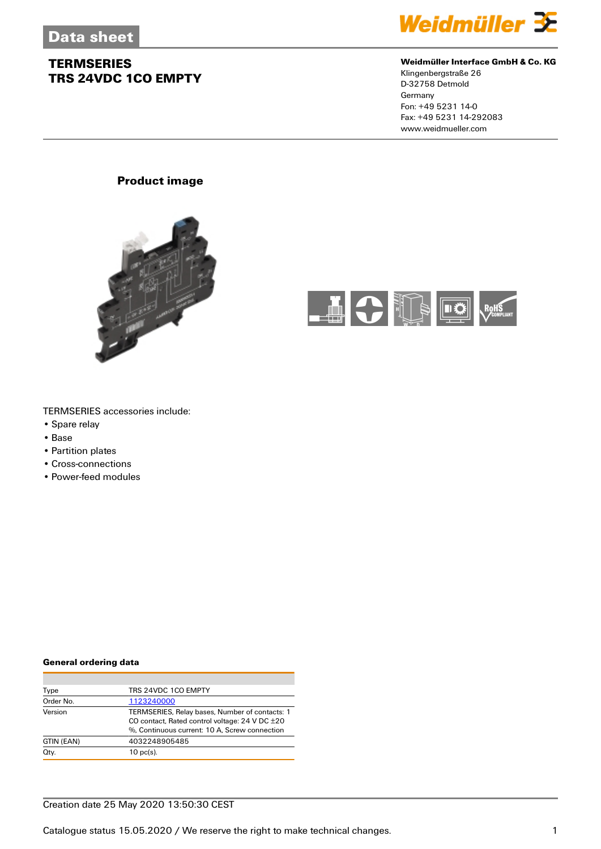

#### **Weidmüller Interface GmbH & Co. KG**

Klingenbergstraße 26 D-32758 Detmold Germany Fon: +49 5231 14-0 Fax: +49 5231 14-292083 www.weidmueller.com

#### **Product image**





#### TERMSERIES accessories include:

- Spare relay
- Base
- Partition plates
- Cross-connections
- Power-feed modules

#### **General ordering data**

| Type       | TRS 24VDC 1CO EMPTY                                   |
|------------|-------------------------------------------------------|
| Order No.  | 1123240000                                            |
| Version    | TERMSERIES, Relay bases, Number of contacts: 1        |
|            | CO contact, Rated control voltage: $24$ V DC $\pm 20$ |
|            | %, Continuous current: 10 A, Screw connection         |
| GTIN (EAN) | 4032248905485                                         |
| Qty.       | $10$ pc(s).                                           |

#### Creation date 25 May 2020 13:50:30 CEST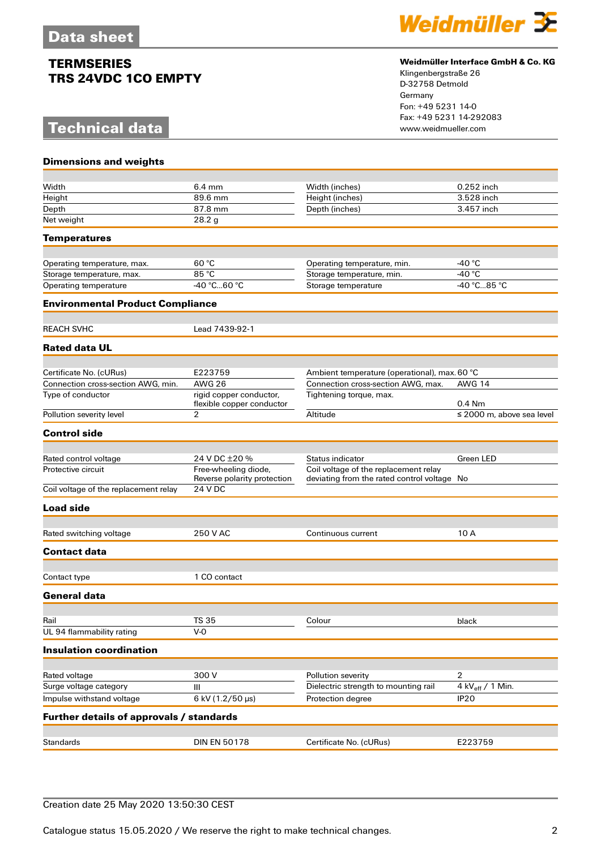# **Technical data**



#### **Weidmüller Interface GmbH & Co. KG**

Klingenbergstraße 26 D-32758 Detmold Germany Fon: +49 5231 14-0 Fax: +49 5231 14-292083

| <b>Dimensions and weights</b>            |                                |                                               |                                |
|------------------------------------------|--------------------------------|-----------------------------------------------|--------------------------------|
|                                          |                                |                                               |                                |
| Width                                    | $6.4 \text{ mm}$               | Width (inches)                                | 0.252 inch                     |
| Height                                   | 89.6 mm                        | Height (inches)                               | 3.528 inch                     |
| Depth<br>Net weight                      | 87.8 mm<br>28.2 g              | Depth (inches)                                | 3.457 inch                     |
|                                          |                                |                                               |                                |
| <b>Temperatures</b>                      |                                |                                               |                                |
| Operating temperature, max.              | 60 °C                          | Operating temperature, min.                   | -40 $^{\circ}$ C               |
| Storage temperature, max.                | 85 °C                          | Storage temperature, min.                     | -40 $^{\circ}$ C               |
| Operating temperature                    | $-40^{\circ}$ C60 $^{\circ}$ C | Storage temperature                           | -40 °C85 °C                    |
| <b>Environmental Product Compliance</b>  |                                |                                               |                                |
|                                          |                                |                                               |                                |
| <b>REACH SVHC</b>                        | Lead 7439-92-1                 |                                               |                                |
| <b>Rated data UL</b>                     |                                |                                               |                                |
| Certificate No. (cURus)                  | E223759                        | Ambient temperature (operational), max. 60 °C |                                |
| Connection cross-section AWG, min.       | <b>AWG 26</b>                  | Connection cross-section AWG, max.            | <b>AWG 14</b>                  |
| Type of conductor                        | rigid copper conductor,        | Tightening torque, max.                       |                                |
|                                          | flexible copper conductor      |                                               | $0.4$ Nm                       |
| Pollution severity level                 | $\overline{2}$                 | Altitude                                      | $\leq$ 2000 m, above sea level |
| <b>Control side</b>                      |                                |                                               |                                |
| Rated control voltage                    | 24 V DC ±20 %                  | <b>Status indicator</b>                       | Green LED                      |
| Protective circuit                       | Free-wheeling diode,           | Coil voltage of the replacement relay         |                                |
|                                          | Reverse polarity protection    | deviating from the rated control voltage No   |                                |
| Coil voltage of the replacement relay    | 24 V DC                        |                                               |                                |
| <b>Load side</b>                         |                                |                                               |                                |
|                                          |                                |                                               |                                |
| Rated switching voltage                  | 250 V AC                       | Continuous current                            | 10 A                           |
| <b>Contact data</b>                      |                                |                                               |                                |
| Contact type                             | 1 CO contact                   |                                               |                                |
| General data                             |                                |                                               |                                |
|                                          |                                |                                               |                                |
| Rail                                     | <b>TS 35</b>                   | Colour                                        | black                          |
| UL 94 flammability rating                | $V-0$                          |                                               |                                |
| <b>Insulation coordination</b>           |                                |                                               |                                |
|                                          |                                |                                               |                                |
| Rated voltage                            | 300 V                          | Pollution severity                            | 2                              |
| Surge voltage category                   | $\mathsf{III}$                 | Dielectric strength to mounting rail          | 4 kV <sub>eff</sub> / 1 Min.   |
| Impulse withstand voltage                | 6 kV (1.2/50 µs)               | Protection degree                             | IP <sub>20</sub>               |
| Further details of approvals / standards |                                |                                               |                                |
|                                          | <b>DIN EN 50178</b>            |                                               | E223759                        |
| Standards                                |                                | Certificate No. (cURus)                       |                                |

### Creation date 25 May 2020 13:50:30 CEST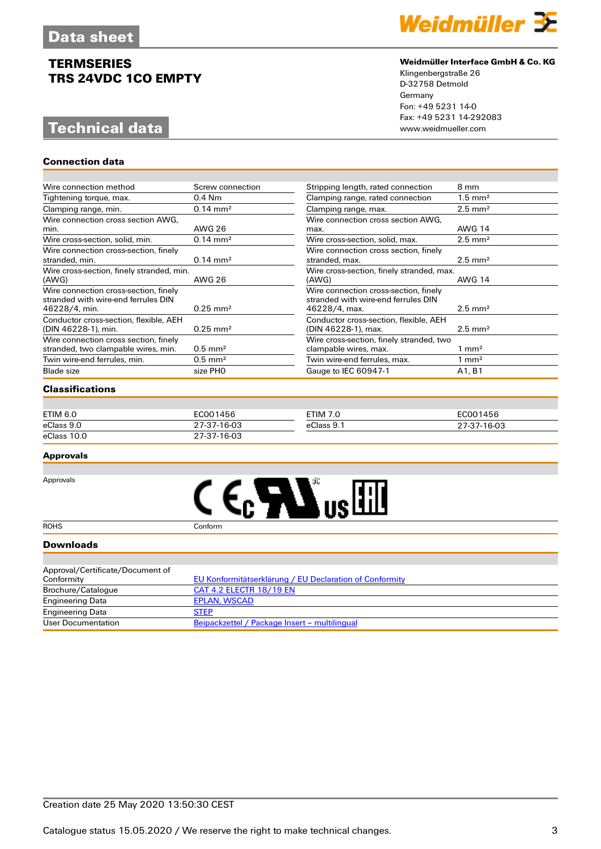# **Technical data**

**Connection data**



#### **Weidmüller Interface GmbH & Co. KG**

 $\equiv$ 

Klingenbergstraße 26 D-32758 Detmold Germany Fon: +49 5231 14-0 Fax: +49 5231 14-292083

| Wire connection method                                                                        | Screw connection    | Stripping length, rated connection                                                            | 8 mm                  |
|-----------------------------------------------------------------------------------------------|---------------------|-----------------------------------------------------------------------------------------------|-----------------------|
| Tightening torque, max.                                                                       | $0.4$ Nm            | Clamping range, rated connection                                                              | $1.5$ mm <sup>2</sup> |
| Clamping range, min.                                                                          | $0.14 \text{ mm}^2$ | Clamping range, max.                                                                          | $2.5$ mm <sup>2</sup> |
| Wire connection cross section AWG,                                                            |                     | Wire connection cross section AWG,                                                            |                       |
| min.                                                                                          | <b>AWG 26</b>       | max.                                                                                          | <b>AWG 14</b>         |
| Wire cross-section, solid, min.                                                               | $0.14 \text{ mm}^2$ | Wire cross-section, solid, max.                                                               | $2.5$ mm <sup>2</sup> |
| Wire connection cross-section, finely<br>stranded, min.                                       | $0.14 \text{ mm}^2$ | Wire connection cross section, finely<br>stranded, max.                                       | $2.5$ mm <sup>2</sup> |
| Wire cross-section, finely stranded, min.<br>(AWG)                                            | <b>AWG 26</b>       | Wire cross-section, finely stranded, max.<br>(AWG)                                            | <b>AWG 14</b>         |
| Wire connection cross-section, finely<br>stranded with wire-end ferrules DIN<br>46228/4, min. | $0.25 \text{ mm}^2$ | Wire connection cross-section, finely<br>stranded with wire-end ferrules DIN<br>46228/4, max. | $2.5$ mm <sup>2</sup> |
| Conductor cross-section, flexible, AEH<br>(DIN 46228-1), min.                                 | $0.25 \text{ mm}^2$ | Conductor cross-section, flexible, AEH<br>(DIN 46228-1), max.                                 | $2.5$ mm <sup>2</sup> |
| Wire connection cross section, finely<br>stranded, two clampable wires, min.                  | $0.5 \text{ mm}^2$  | Wire cross-section, finely stranded, two<br>clampable wires, max.                             | $1 \text{ mm}^2$      |
| Twin wire-end ferrules, min.                                                                  | $0.5 \text{ mm}^2$  | Twin wire-end ferrules, max.                                                                  | $1 \text{ mm}^2$      |
| Blade size                                                                                    | size PHO            | Gauge to IEC 60947-1                                                                          | A1, B1                |

#### **Classifications**

| ETIM 6.0    | EC001456    | ETIM 7.0   | EC001456    |
|-------------|-------------|------------|-------------|
| eClass 9.0  | 27-37-16-03 | eClass 9.1 | 27-37-16-03 |
| eClass 10.0 | 27-37-16-03 |            |             |

#### **Approvals**





#### **Downloads**

| Approval/Certificate/Document of |                                                         |
|----------------------------------|---------------------------------------------------------|
| Conformity                       | EU Konformitätserklärung / EU Declaration of Conformity |
| Brochure/Catalogue               | <b>CAT 4.2 ELECTR 18/19 EN</b>                          |
| <b>Engineering Data</b>          | EPLAN, WSCAD                                            |
| <b>Engineering Data</b>          | <b>STEP</b>                                             |
| User Documentation               | Beipackzettel / Package Insert - multilingual           |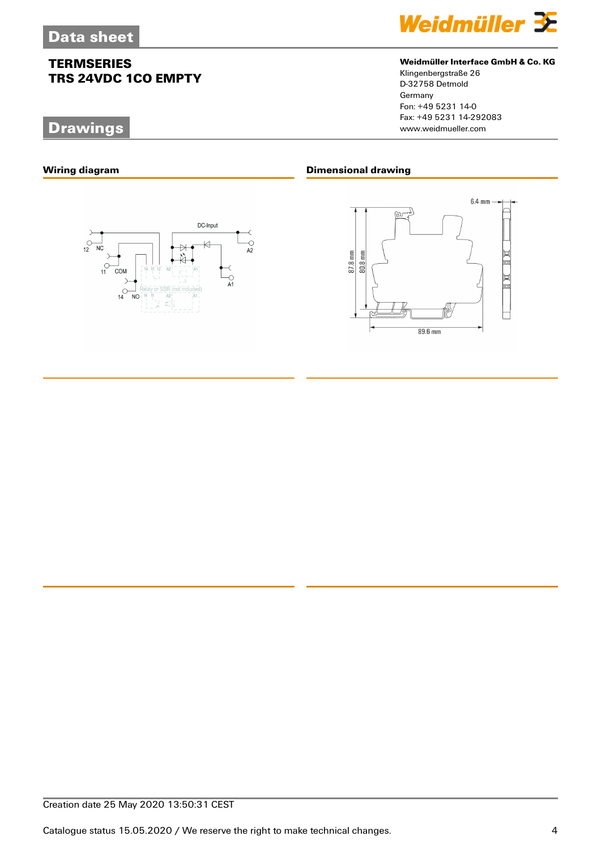# **Drawings**





#### **Weidmüller Interface GmbH & Co. KG**

Klingenbergstraße 26 D-32758 Detmold Germany Fon: +49 5231 14-0 Fax: +49 5231 14-292083

#### **Wiring diagram Dimensional drawing**